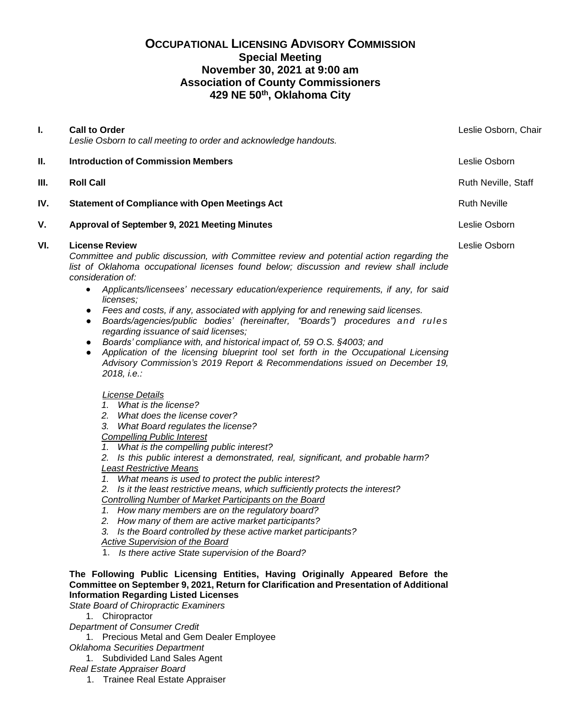# **OCCUPATIONAL LICENSING ADVISORY COMMISSION Special Meeting November 30, 2021 at 9:00 am Association of County Commissioners 429 NE 50th, Oklahoma City**

| I.  | <b>Call to Order</b><br>Leslie Osborn to call meeting to order and acknowledge handouts.                                                                                                                                                                                                                                                                                                                                                                                                                                                                                                                                                                                                                                                                                                                                                                                        | Leslie Osborn, Chair |
|-----|---------------------------------------------------------------------------------------------------------------------------------------------------------------------------------------------------------------------------------------------------------------------------------------------------------------------------------------------------------------------------------------------------------------------------------------------------------------------------------------------------------------------------------------------------------------------------------------------------------------------------------------------------------------------------------------------------------------------------------------------------------------------------------------------------------------------------------------------------------------------------------|----------------------|
| Ш.  | <b>Introduction of Commission Members</b>                                                                                                                                                                                                                                                                                                                                                                                                                                                                                                                                                                                                                                                                                                                                                                                                                                       | Leslie Osborn        |
| Ш.  | <b>Roll Call</b>                                                                                                                                                                                                                                                                                                                                                                                                                                                                                                                                                                                                                                                                                                                                                                                                                                                                | Ruth Neville, Staff  |
| IV. | <b>Statement of Compliance with Open Meetings Act</b>                                                                                                                                                                                                                                                                                                                                                                                                                                                                                                                                                                                                                                                                                                                                                                                                                           | <b>Ruth Neville</b>  |
| V.  | Approval of September 9, 2021 Meeting Minutes                                                                                                                                                                                                                                                                                                                                                                                                                                                                                                                                                                                                                                                                                                                                                                                                                                   | Leslie Osborn        |
| VI. | <b>License Review</b><br>Committee and public discussion, with Committee review and potential action regarding the<br>list of Oklahoma occupational licenses found below; discussion and review shall include<br>consideration of:<br>Applicants/licensees' necessary education/experience requirements, if any, for said<br>$\bullet$<br>licenses;<br>Fees and costs, if any, associated with applying for and renewing said licenses.<br>$\bullet$<br>Boards/agencies/public bodies' (hereinafter, "Boards") procedures and rules<br>$\bullet$<br>regarding issuance of said licenses;<br>Boards' compliance with, and historical impact of, 59 O.S. §4003; and<br>$\bullet$<br>Application of the licensing blueprint tool set forth in the Occupational Licensing<br>$\bullet$<br>Advisory Commission's 2019 Report & Recommendations issued on December 19,<br>2018, i.e.: | Leslie Osborn        |
|     | License Details<br>1. What is the license?<br>2. What does the license cover?<br>3.<br>What Board regulates the license?<br><b>Compelling Public Interest</b><br>What is the compelling public interest?<br>1.<br>Is this public interest a demonstrated, real, significant, and probable harm?<br>2.<br><b>Least Restrictive Means</b><br>1. What means is used to protect the public interest?                                                                                                                                                                                                                                                                                                                                                                                                                                                                                |                      |

*2. Is it the least restrictive means, which sufficiently protects the interest?*

*Controlling Number of Market Participants on the Board*

- *1. How many members are on the regulatory board?*
- *2. How many of them are active market participants?*
- *3. Is the Board controlled by these active market participants?*
- *Active Supervision of the Board*
- 1. *Is there active State supervision of the Board?*

## **The Following Public Licensing Entities, Having Originally Appeared Before the Committee on September 9, 2021, Return for Clarification and Presentation of Additional Information Regarding Listed Licenses**

*State Board of Chiropractic Examiners*

1. Chiropractor

- *Department of Consumer Credit*
- 1. Precious Metal and Gem Dealer Employee
- *Oklahoma Securities Department*
	- 1. Subdivided Land Sales Agent
- *Real Estate Appraiser Board*
	- 1. Trainee Real Estate Appraiser